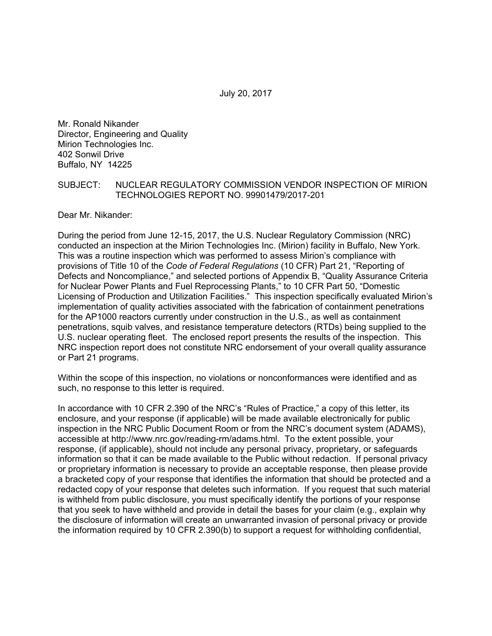Mr. Ronald Nikander Director, Engineering and Quality Mirion Technologies Inc. 402 Sonwil Drive Buffalo, NY 14225

### SUBJECT: NUCLEAR REGULATORY COMMISSION VENDOR INSPECTION OF MIRION TECHNOLOGIES REPORT NO. 99901479/2017-201

Dear Mr. Nikander:

During the period from June 12-15, 2017, the U.S. Nuclear Regulatory Commission (NRC) conducted an inspection at the Mirion Technologies Inc. (Mirion) facility in Buffalo, New York. This was a routine inspection which was performed to assess Mirion's compliance with provisions of Title 10 of the *Code of Federal Regulations* (10 CFR) Part 21, "Reporting of Defects and Noncompliance," and selected portions of Appendix B, "Quality Assurance Criteria for Nuclear Power Plants and Fuel Reprocessing Plants," to 10 CFR Part 50, "Domestic Licensing of Production and Utilization Facilities." This inspection specifically evaluated Mirion's implementation of quality activities associated with the fabrication of containment penetrations for the AP1000 reactors currently under construction in the U.S., as well as containment penetrations, squib valves, and resistance temperature detectors (RTDs) being supplied to the U.S. nuclear operating fleet. The enclosed report presents the results of the inspection. This NRC inspection report does not constitute NRC endorsement of your overall quality assurance or Part 21 programs.

Within the scope of this inspection, no violations or nonconformances were identified and as such, no response to this letter is required.

In accordance with 10 CFR 2.390 of the NRC's "Rules of Practice," a copy of this letter, its enclosure, and your response (if applicable) will be made available electronically for public inspection in the NRC Public Document Room or from the NRC's document system (ADAMS), accessible at http://www.nrc.gov/reading-rm/adams.html. To the extent possible, your response, (if applicable), should not include any personal privacy, proprietary, or safeguards information so that it can be made available to the Public without redaction. If personal privacy or proprietary information is necessary to provide an acceptable response, then please provide a bracketed copy of your response that identifies the information that should be protected and a redacted copy of your response that deletes such information. If you request that such material is withheld from public disclosure, you must specifically identify the portions of your response that you seek to have withheld and provide in detail the bases for your claim (e.g., explain why the disclosure of information will create an unwarranted invasion of personal privacy or provide the information required by 10 CFR 2.390(b) to support a request for withholding confidential,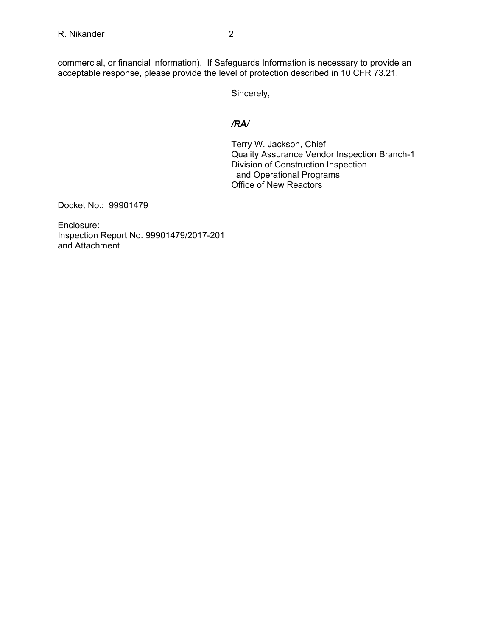commercial, or financial information). If Safeguards Information is necessary to provide an acceptable response, please provide the level of protection described in 10 CFR 73.21.

Sincerely,

# */RA/*

Terry W. Jackson, Chief Quality Assurance Vendor Inspection Branch-1 Division of Construction Inspection and Operational Programs Office of New Reactors

Docket No.: 99901479

Enclosure: Inspection Report No. 99901479/2017-201 and Attachment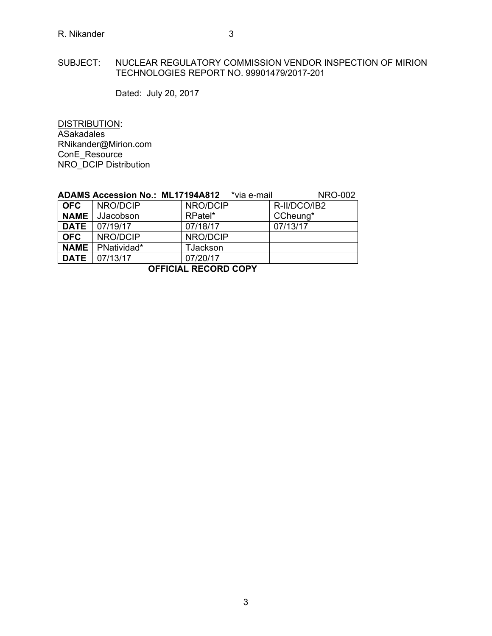### SUBJECT: NUCLEAR REGULATORY COMMISSION VENDOR INSPECTION OF MIRION TECHNOLOGIES REPORT NO. 99901479/2017-201

Dated: July 20, 2017

DISTRIBUTION: ASakadales RNikander@Mirion.com ConE\_Resource NRO\_DCIP Distribution

|                      | <b>ADAMS Accession No.: ML17194A812</b> | *via e-mail | <b>NRO-002</b> |  |  |  |  |
|----------------------|-----------------------------------------|-------------|----------------|--|--|--|--|
| <b>OFC</b>           | NRO/DCIP                                | NRO/DCIP    | R-II/DCO/IB2   |  |  |  |  |
| <b>NAME</b>          | JJacobson                               | RPatel*     | CCheung*       |  |  |  |  |
| <b>DATE</b>          | 07/19/17                                | 07/18/17    | 07/13/17       |  |  |  |  |
| <b>OFC</b>           | NRO/DCIP                                | NRO/DCIP    |                |  |  |  |  |
| <b>NAME</b>          | PNatividad*                             | TJackson    |                |  |  |  |  |
| <b>DATE</b>          | 07/13/17                                | 07/20/17    |                |  |  |  |  |
| AFFIAILL BEAARD AABV |                                         |             |                |  |  |  |  |

# **OFFICIAL RECORD COPY**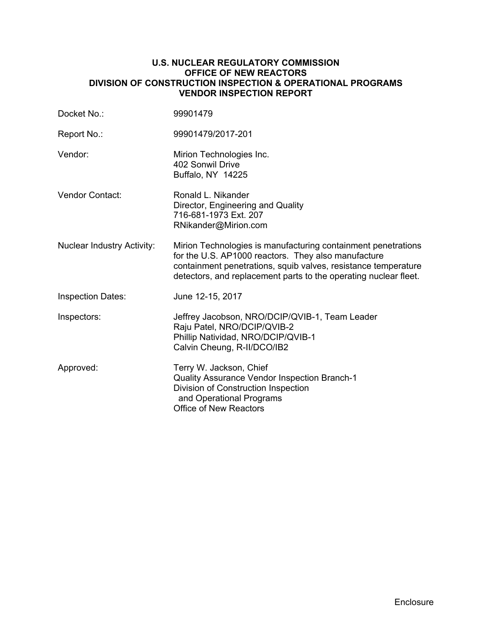## **U.S. NUCLEAR REGULATORY COMMISSION OFFICE OF NEW REACTORS DIVISION OF CONSTRUCTION INSPECTION & OPERATIONAL PROGRAMS VENDOR INSPECTION REPORT**

| Docket No.:                       | 99901479                                                                                                                                                                                                                                                   |
|-----------------------------------|------------------------------------------------------------------------------------------------------------------------------------------------------------------------------------------------------------------------------------------------------------|
| Report No.:                       | 99901479/2017-201                                                                                                                                                                                                                                          |
| Vendor:                           | Mirion Technologies Inc.<br>402 Sonwil Drive<br>Buffalo, NY 14225                                                                                                                                                                                          |
| <b>Vendor Contact:</b>            | Ronald L. Nikander<br>Director, Engineering and Quality<br>716-681-1973 Ext. 207<br>RNikander@Mirion.com                                                                                                                                                   |
| <b>Nuclear Industry Activity:</b> | Mirion Technologies is manufacturing containment penetrations<br>for the U.S. AP1000 reactors. They also manufacture<br>containment penetrations, squib valves, resistance temperature<br>detectors, and replacement parts to the operating nuclear fleet. |
| <b>Inspection Dates:</b>          | June 12-15, 2017                                                                                                                                                                                                                                           |
| Inspectors:                       | Jeffrey Jacobson, NRO/DCIP/QVIB-1, Team Leader<br>Raju Patel, NRO/DCIP/QVIB-2<br>Phillip Natividad, NRO/DCIP/QVIB-1<br>Calvin Cheung, R-II/DCO/IB2                                                                                                         |
| Approved:                         | Terry W. Jackson, Chief<br>Quality Assurance Vendor Inspection Branch-1<br>Division of Construction Inspection<br>and Operational Programs<br><b>Office of New Reactors</b>                                                                                |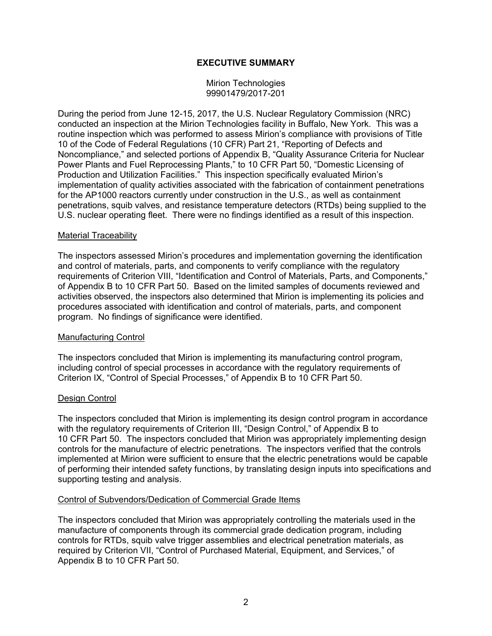# **EXECUTIVE SUMMARY**

Mirion Technologies 99901479/2017-201

During the period from June 12-15, 2017, the U.S. Nuclear Regulatory Commission (NRC) conducted an inspection at the Mirion Technologies facility in Buffalo, New York. This was a routine inspection which was performed to assess Mirion's compliance with provisions of Title 10 of the Code of Federal Regulations (10 CFR) Part 21, "Reporting of Defects and Noncompliance," and selected portions of Appendix B, "Quality Assurance Criteria for Nuclear Power Plants and Fuel Reprocessing Plants," to 10 CFR Part 50, "Domestic Licensing of Production and Utilization Facilities." This inspection specifically evaluated Mirion's implementation of quality activities associated with the fabrication of containment penetrations for the AP1000 reactors currently under construction in the U.S., as well as containment penetrations, squib valves, and resistance temperature detectors (RTDs) being supplied to the U.S. nuclear operating fleet. There were no findings identified as a result of this inspection.

#### Material Traceability

The inspectors assessed Mirion's procedures and implementation governing the identification and control of materials, parts, and components to verify compliance with the regulatory requirements of Criterion VIII, "Identification and Control of Materials, Parts, and Components," of Appendix B to 10 CFR Part 50. Based on the limited samples of documents reviewed and activities observed, the inspectors also determined that Mirion is implementing its policies and procedures associated with identification and control of materials, parts, and component program. No findings of significance were identified.

#### Manufacturing Control

The inspectors concluded that Mirion is implementing its manufacturing control program, including control of special processes in accordance with the regulatory requirements of Criterion IX, "Control of Special Processes," of Appendix B to 10 CFR Part 50.

#### Design Control

The inspectors concluded that Mirion is implementing its design control program in accordance with the regulatory requirements of Criterion III, "Design Control," of Appendix B to 10 CFR Part 50. The inspectors concluded that Mirion was appropriately implementing design controls for the manufacture of electric penetrations. The inspectors verified that the controls implemented at Mirion were sufficient to ensure that the electric penetrations would be capable of performing their intended safety functions, by translating design inputs into specifications and supporting testing and analysis.

### Control of Subvendors/Dedication of Commercial Grade Items

The inspectors concluded that Mirion was appropriately controlling the materials used in the manufacture of components through its commercial grade dedication program, including controls for RTDs, squib valve trigger assemblies and electrical penetration materials, as required by Criterion VII, "Control of Purchased Material, Equipment, and Services," of Appendix B to 10 CFR Part 50.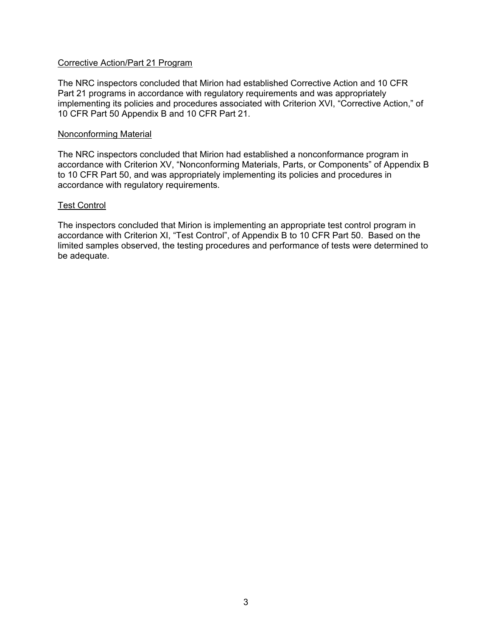### Corrective Action/Part 21 Program

The NRC inspectors concluded that Mirion had established Corrective Action and 10 CFR Part 21 programs in accordance with regulatory requirements and was appropriately implementing its policies and procedures associated with Criterion XVI, "Corrective Action," of 10 CFR Part 50 Appendix B and 10 CFR Part 21.

### Nonconforming Material

The NRC inspectors concluded that Mirion had established a nonconformance program in accordance with Criterion XV, "Nonconforming Materials, Parts, or Components" of Appendix B to 10 CFR Part 50, and was appropriately implementing its policies and procedures in accordance with regulatory requirements.

### Test Control

The inspectors concluded that Mirion is implementing an appropriate test control program in accordance with Criterion XI, "Test Control", of Appendix B to 10 CFR Part 50. Based on the limited samples observed, the testing procedures and performance of tests were determined to be adequate.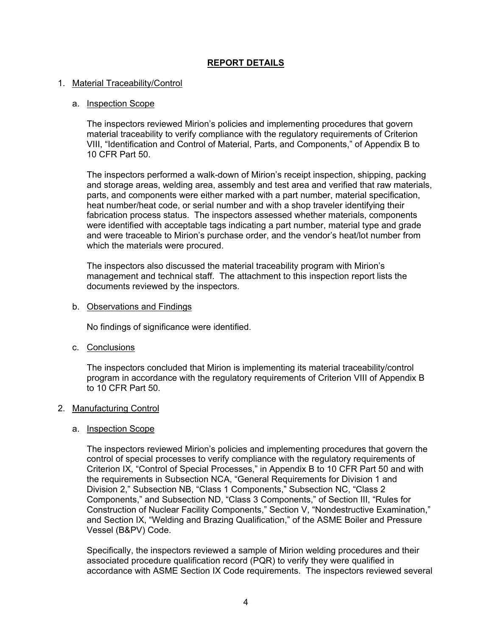# **REPORT DETAILS**

### 1. Material Traceability/Control

### a. Inspection Scope

The inspectors reviewed Mirion's policies and implementing procedures that govern material traceability to verify compliance with the regulatory requirements of Criterion VIII, "Identification and Control of Material, Parts, and Components," of Appendix B to 10 CFR Part 50.

The inspectors performed a walk-down of Mirion's receipt inspection, shipping, packing and storage areas, welding area, assembly and test area and verified that raw materials, parts, and components were either marked with a part number, material specification, heat number/heat code, or serial number and with a shop traveler identifying their fabrication process status. The inspectors assessed whether materials, components were identified with acceptable tags indicating a part number, material type and grade and were traceable to Mirion's purchase order, and the vendor's heat/lot number from which the materials were procured.

The inspectors also discussed the material traceability program with Mirion's management and technical staff. The attachment to this inspection report lists the documents reviewed by the inspectors.

### b. Observations and Findings

No findings of significance were identified.

c. Conclusions

The inspectors concluded that Mirion is implementing its material traceability/control program in accordance with the regulatory requirements of Criterion VIII of Appendix B to 10 CFR Part 50.

### 2. Manufacturing Control

### a. Inspection Scope

The inspectors reviewed Mirion's policies and implementing procedures that govern the control of special processes to verify compliance with the regulatory requirements of Criterion IX, "Control of Special Processes," in Appendix B to 10 CFR Part 50 and with the requirements in Subsection NCA, "General Requirements for Division 1 and Division 2," Subsection NB, "Class 1 Components," Subsection NC, "Class 2 Components," and Subsection ND, "Class 3 Components," of Section III, "Rules for Construction of Nuclear Facility Components," Section V, "Nondestructive Examination," and Section IX, "Welding and Brazing Qualification," of the ASME Boiler and Pressure Vessel (B&PV) Code.

Specifically, the inspectors reviewed a sample of Mirion welding procedures and their associated procedure qualification record (PQR) to verify they were qualified in accordance with ASME Section IX Code requirements. The inspectors reviewed several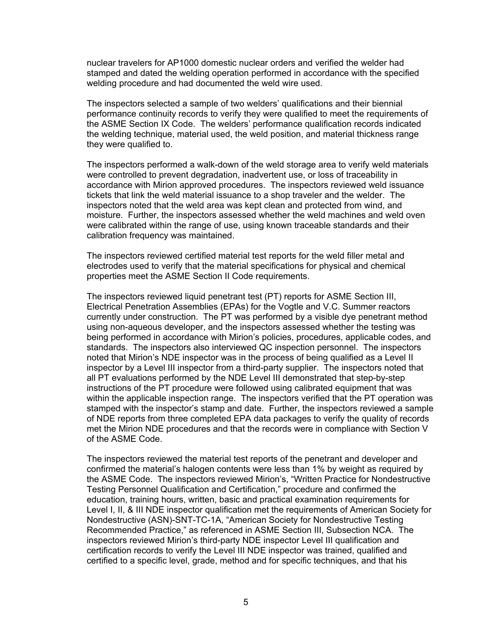nuclear travelers for AP1000 domestic nuclear orders and verified the welder had stamped and dated the welding operation performed in accordance with the specified welding procedure and had documented the weld wire used.

The inspectors selected a sample of two welders' qualifications and their biennial performance continuity records to verify they were qualified to meet the requirements of the ASME Section IX Code. The welders' performance qualification records indicated the welding technique, material used, the weld position, and material thickness range they were qualified to.

The inspectors performed a walk-down of the weld storage area to verify weld materials were controlled to prevent degradation, inadvertent use, or loss of traceability in accordance with Mirion approved procedures. The inspectors reviewed weld issuance tickets that link the weld material issuance to a shop traveler and the welder. The inspectors noted that the weld area was kept clean and protected from wind, and moisture. Further, the inspectors assessed whether the weld machines and weld oven were calibrated within the range of use, using known traceable standards and their calibration frequency was maintained.

The inspectors reviewed certified material test reports for the weld filler metal and electrodes used to verify that the material specifications for physical and chemical properties meet the ASME Section II Code requirements.

The inspectors reviewed liquid penetrant test (PT) reports for ASME Section III, Electrical Penetration Assemblies (EPAs) for the Vogtle and V.C. Summer reactors currently under construction. The PT was performed by a visible dye penetrant method using non-aqueous developer, and the inspectors assessed whether the testing was being performed in accordance with Mirion's policies, procedures, applicable codes, and standards. The inspectors also interviewed QC inspection personnel. The inspectors noted that Mirion's NDE inspector was in the process of being qualified as a Level II inspector by a Level III inspector from a third-party supplier. The inspectors noted that all PT evaluations performed by the NDE Level III demonstrated that step-by-step instructions of the PT procedure were followed using calibrated equipment that was within the applicable inspection range. The inspectors verified that the PT operation was stamped with the inspector's stamp and date. Further, the inspectors reviewed a sample of NDE reports from three completed EPA data packages to verify the quality of records met the Mirion NDE procedures and that the records were in compliance with Section V of the ASME Code.

The inspectors reviewed the material test reports of the penetrant and developer and confirmed the material's halogen contents were less than 1% by weight as required by the ASME Code. The inspectors reviewed Mirion's, "Written Practice for Nondestructive Testing Personnel Qualification and Certification," procedure and confirmed the education, training hours, written, basic and practical examination requirements for Level I, II, & III NDE inspector qualification met the requirements of American Society for Nondestructive (ASN)-SNT-TC-1A, "American Society for Nondestructive Testing Recommended Practice," as referenced in ASME Section III, Subsection NCA. The inspectors reviewed Mirion's third-party NDE inspector Level III qualification and certification records to verify the Level III NDE inspector was trained, qualified and certified to a specific level, grade, method and for specific techniques, and that his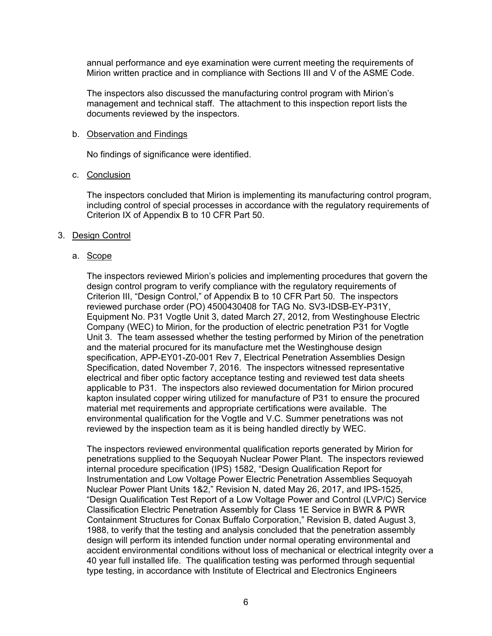annual performance and eye examination were current meeting the requirements of Mirion written practice and in compliance with Sections III and V of the ASME Code.

The inspectors also discussed the manufacturing control program with Mirion's management and technical staff. The attachment to this inspection report lists the documents reviewed by the inspectors.

#### b. Observation and Findings

No findings of significance were identified.

### c. Conclusion

The inspectors concluded that Mirion is implementing its manufacturing control program, including control of special processes in accordance with the regulatory requirements of Criterion IX of Appendix B to 10 CFR Part 50.

## 3. Design Control

## a. Scope

The inspectors reviewed Mirion's policies and implementing procedures that govern the design control program to verify compliance with the regulatory requirements of Criterion III, "Design Control," of Appendix B to 10 CFR Part 50. The inspectors reviewed purchase order (PO) 4500430408 for TAG No. SV3-IDSB-EY-P31Y, Equipment No. P31 Vogtle Unit 3, dated March 27, 2012, from Westinghouse Electric Company (WEC) to Mirion, for the production of electric penetration P31 for Vogtle Unit 3. The team assessed whether the testing performed by Mirion of the penetration and the material procured for its manufacture met the Westinghouse design specification, APP-EY01-Z0-001 Rev 7, Electrical Penetration Assemblies Design Specification, dated November 7, 2016. The inspectors witnessed representative electrical and fiber optic factory acceptance testing and reviewed test data sheets applicable to P31. The inspectors also reviewed documentation for Mirion procured kapton insulated copper wiring utilized for manufacture of P31 to ensure the procured material met requirements and appropriate certifications were available. The environmental qualification for the Vogtle and V.C. Summer penetrations was not reviewed by the inspection team as it is being handled directly by WEC.

The inspectors reviewed environmental qualification reports generated by Mirion for penetrations supplied to the Sequoyah Nuclear Power Plant. The inspectors reviewed internal procedure specification (IPS) 1582, "Design Qualification Report for Instrumentation and Low Voltage Power Electric Penetration Assemblies Sequoyah Nuclear Power Plant Units 1&2," Revision N, dated May 26, 2017, and IPS-1525, "Design Qualification Test Report of a Low Voltage Power and Control (LVP/C) Service Classification Electric Penetration Assembly for Class 1E Service in BWR & PWR Containment Structures for Conax Buffalo Corporation," Revision B, dated August 3, 1988, to verify that the testing and analysis concluded that the penetration assembly design will perform its intended function under normal operating environmental and accident environmental conditions without loss of mechanical or electrical integrity over a 40 year full installed life. The qualification testing was performed through sequential type testing, in accordance with Institute of Electrical and Electronics Engineers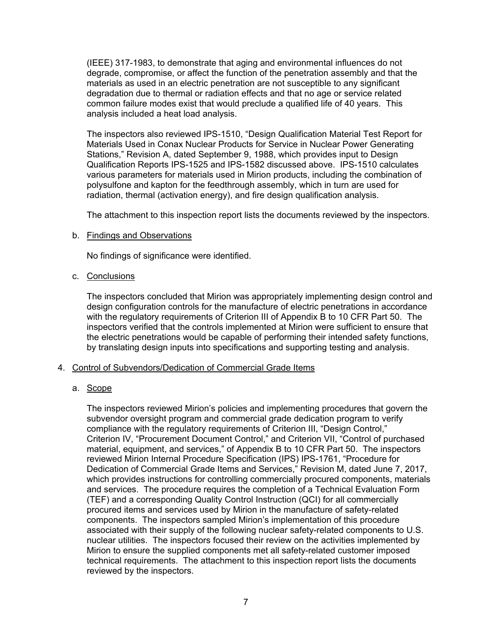(IEEE) 317-1983, to demonstrate that aging and environmental influences do not degrade, compromise, or affect the function of the penetration assembly and that the materials as used in an electric penetration are not susceptible to any significant degradation due to thermal or radiation effects and that no age or service related common failure modes exist that would preclude a qualified life of 40 years. This analysis included a heat load analysis.

The inspectors also reviewed IPS-1510, "Design Qualification Material Test Report for Materials Used in Conax Nuclear Products for Service in Nuclear Power Generating Stations," Revision A, dated September 9, 1988, which provides input to Design Qualification Reports IPS-1525 and IPS-1582 discussed above. IPS-1510 calculates various parameters for materials used in Mirion products, including the combination of polysulfone and kapton for the feedthrough assembly, which in turn are used for radiation, thermal (activation energy), and fire design qualification analysis.

The attachment to this inspection report lists the documents reviewed by the inspectors.

## b. Findings and Observations

No findings of significance were identified.

## c. Conclusions

The inspectors concluded that Mirion was appropriately implementing design control and design configuration controls for the manufacture of electric penetrations in accordance with the regulatory requirements of Criterion III of Appendix B to 10 CFR Part 50. The inspectors verified that the controls implemented at Mirion were sufficient to ensure that the electric penetrations would be capable of performing their intended safety functions, by translating design inputs into specifications and supporting testing and analysis.

# 4. Control of Subvendors/Dedication of Commercial Grade Items

# a. Scope

The inspectors reviewed Mirion's policies and implementing procedures that govern the subvendor oversight program and commercial grade dedication program to verify compliance with the regulatory requirements of Criterion III, "Design Control," Criterion IV, "Procurement Document Control," and Criterion VII, "Control of purchased material, equipment, and services," of Appendix B to 10 CFR Part 50. The inspectors reviewed Mirion Internal Procedure Specification (IPS) IPS-1761, "Procedure for Dedication of Commercial Grade Items and Services," Revision M, dated June 7, 2017, which provides instructions for controlling commercially procured components, materials and services. The procedure requires the completion of a Technical Evaluation Form (TEF) and a corresponding Quality Control Instruction (QCI) for all commercially procured items and services used by Mirion in the manufacture of safety-related components. The inspectors sampled Mirion's implementation of this procedure associated with their supply of the following nuclear safety-related components to U.S. nuclear utilities. The inspectors focused their review on the activities implemented by Mirion to ensure the supplied components met all safety-related customer imposed technical requirements. The attachment to this inspection report lists the documents reviewed by the inspectors.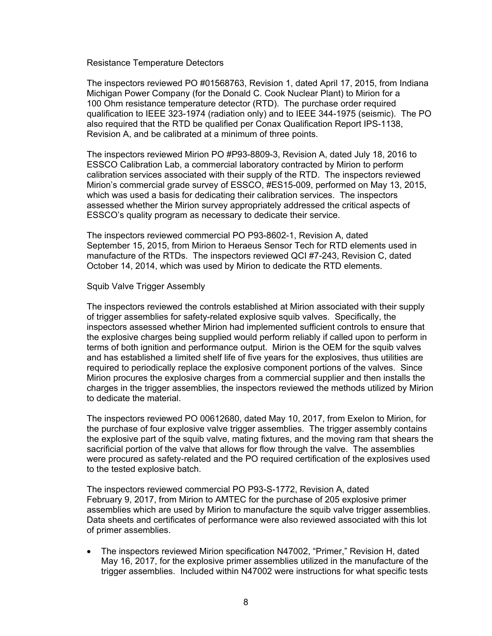Resistance Temperature Detectors

The inspectors reviewed PO #01568763, Revision 1, dated April 17, 2015, from Indiana Michigan Power Company (for the Donald C. Cook Nuclear Plant) to Mirion for a 100 Ohm resistance temperature detector (RTD). The purchase order required qualification to IEEE 323-1974 (radiation only) and to IEEE 344-1975 (seismic). The PO also required that the RTD be qualified per Conax Qualification Report IPS-1138, Revision A, and be calibrated at a minimum of three points.

The inspectors reviewed Mirion PO #P93-8809-3, Revision A, dated July 18, 2016 to ESSCO Calibration Lab, a commercial laboratory contracted by Mirion to perform calibration services associated with their supply of the RTD. The inspectors reviewed Mirion's commercial grade survey of ESSCO, #ES15-009, performed on May 13, 2015, which was used a basis for dedicating their calibration services. The inspectors assessed whether the Mirion survey appropriately addressed the critical aspects of ESSCO's quality program as necessary to dedicate their service.

The inspectors reviewed commercial PO P93-8602-1, Revision A, dated September 15, 2015, from Mirion to Heraeus Sensor Tech for RTD elements used in manufacture of the RTDs. The inspectors reviewed QCI #7-243, Revision C, dated October 14, 2014, which was used by Mirion to dedicate the RTD elements.

### Squib Valve Trigger Assembly

The inspectors reviewed the controls established at Mirion associated with their supply of trigger assemblies for safety-related explosive squib valves. Specifically, the inspectors assessed whether Mirion had implemented sufficient controls to ensure that the explosive charges being supplied would perform reliably if called upon to perform in terms of both ignition and performance output. Mirion is the OEM for the squib valves and has established a limited shelf life of five years for the explosives, thus utilities are required to periodically replace the explosive component portions of the valves. Since Mirion procures the explosive charges from a commercial supplier and then installs the charges in the trigger assemblies, the inspectors reviewed the methods utilized by Mirion to dedicate the material.

The inspectors reviewed PO 00612680, dated May 10, 2017, from Exelon to Mirion, for the purchase of four explosive valve trigger assemblies. The trigger assembly contains the explosive part of the squib valve, mating fixtures, and the moving ram that shears the sacrificial portion of the valve that allows for flow through the valve. The assemblies were procured as safety-related and the PO required certification of the explosives used to the tested explosive batch.

The inspectors reviewed commercial PO P93-S-1772, Revision A, dated February 9, 2017, from Mirion to AMTEC for the purchase of 205 explosive primer assemblies which are used by Mirion to manufacture the squib valve trigger assemblies. Data sheets and certificates of performance were also reviewed associated with this lot of primer assemblies.

• The inspectors reviewed Mirion specification N47002, "Primer," Revision H, dated May 16, 2017, for the explosive primer assemblies utilized in the manufacture of the trigger assemblies. Included within N47002 were instructions for what specific tests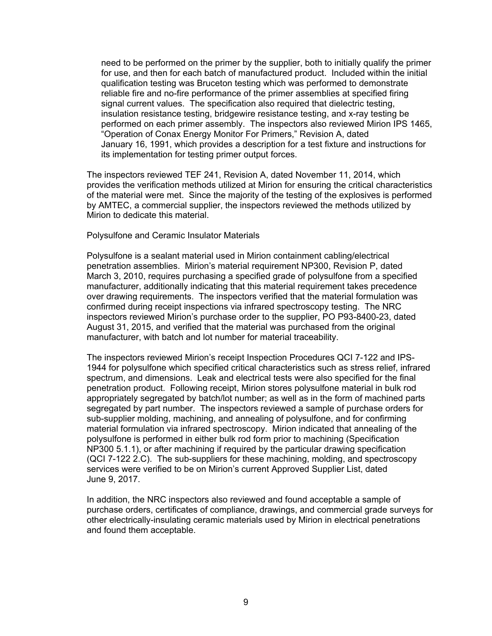need to be performed on the primer by the supplier, both to initially qualify the primer for use, and then for each batch of manufactured product. Included within the initial qualification testing was Bruceton testing which was performed to demonstrate reliable fire and no-fire performance of the primer assemblies at specified firing signal current values. The specification also required that dielectric testing, insulation resistance testing, bridgewire resistance testing, and x-ray testing be performed on each primer assembly. The inspectors also reviewed Mirion IPS 1465, "Operation of Conax Energy Monitor For Primers," Revision A, dated January 16, 1991, which provides a description for a test fixture and instructions for its implementation for testing primer output forces.

The inspectors reviewed TEF 241, Revision A, dated November 11, 2014, which provides the verification methods utilized at Mirion for ensuring the critical characteristics of the material were met. Since the majority of the testing of the explosives is performed by AMTEC, a commercial supplier, the inspectors reviewed the methods utilized by Mirion to dedicate this material.

Polysulfone and Ceramic Insulator Materials

Polysulfone is a sealant material used in Mirion containment cabling/electrical penetration assemblies. Mirion's material requirement NP300, Revision P, dated March 3, 2010, requires purchasing a specified grade of polysulfone from a specified manufacturer, additionally indicating that this material requirement takes precedence over drawing requirements. The inspectors verified that the material formulation was confirmed during receipt inspections via infrared spectroscopy testing. The NRC inspectors reviewed Mirion's purchase order to the supplier, PO P93-8400-23, dated August 31, 2015, and verified that the material was purchased from the original manufacturer, with batch and lot number for material traceability.

The inspectors reviewed Mirion's receipt Inspection Procedures QCI 7-122 and IPS-1944 for polysulfone which specified critical characteristics such as stress relief, infrared spectrum, and dimensions. Leak and electrical tests were also specified for the final penetration product. Following receipt, Mirion stores polysulfone material in bulk rod appropriately segregated by batch/lot number; as well as in the form of machined parts segregated by part number. The inspectors reviewed a sample of purchase orders for sub-supplier molding, machining, and annealing of polysulfone, and for confirming material formulation via infrared spectroscopy. Mirion indicated that annealing of the polysulfone is performed in either bulk rod form prior to machining (Specification NP300 5.1.1), or after machining if required by the particular drawing specification (QCI 7-122 2.C). The sub-suppliers for these machining, molding, and spectroscopy services were verified to be on Mirion's current Approved Supplier List, dated June 9, 2017.

In addition, the NRC inspectors also reviewed and found acceptable a sample of purchase orders, certificates of compliance, drawings, and commercial grade surveys for other electrically-insulating ceramic materials used by Mirion in electrical penetrations and found them acceptable.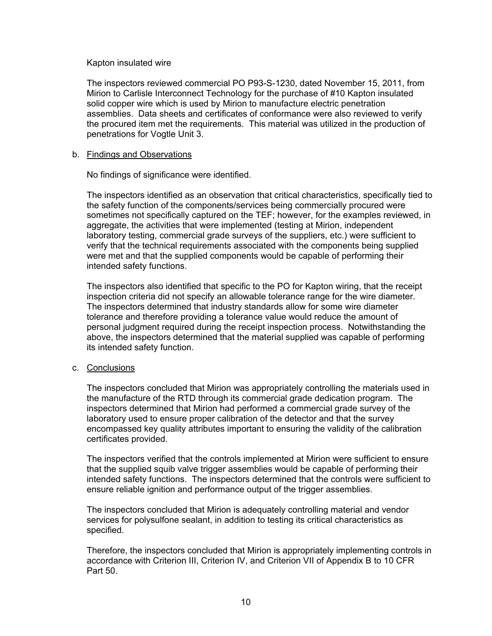### Kapton insulated wire

The inspectors reviewed commercial PO P93-S-1230, dated November 15, 2011, from Mirion to Carlisle Interconnect Technology for the purchase of #10 Kapton insulated solid copper wire which is used by Mirion to manufacture electric penetration assemblies. Data sheets and certificates of conformance were also reviewed to verify the procured item met the requirements. This material was utilized in the production of penetrations for Vogtle Unit 3.

## b. Findings and Observations

No findings of significance were identified.

The inspectors identified as an observation that critical characteristics, specifically tied to the safety function of the components/services being commercially procured were sometimes not specifically captured on the TEF; however, for the examples reviewed, in aggregate, the activities that were implemented (testing at Mirion, independent laboratory testing, commercial grade surveys of the suppliers, etc.) were sufficient to verify that the technical requirements associated with the components being supplied were met and that the supplied components would be capable of performing their intended safety functions.

The inspectors also identified that specific to the PO for Kapton wiring, that the receipt inspection criteria did not specify an allowable tolerance range for the wire diameter. The inspectors determined that industry standards allow for some wire diameter tolerance and therefore providing a tolerance value would reduce the amount of personal judgment required during the receipt inspection process. Notwithstanding the above, the inspectors determined that the material supplied was capable of performing its intended safety function.

# c. Conclusions

The inspectors concluded that Mirion was appropriately controlling the materials used in the manufacture of the RTD through its commercial grade dedication program. The inspectors determined that Mirion had performed a commercial grade survey of the laboratory used to ensure proper calibration of the detector and that the survey encompassed key quality attributes important to ensuring the validity of the calibration certificates provided.

The inspectors verified that the controls implemented at Mirion were sufficient to ensure that the supplied squib valve trigger assemblies would be capable of performing their intended safety functions. The inspectors determined that the controls were sufficient to ensure reliable ignition and performance output of the trigger assemblies.

The inspectors concluded that Mirion is adequately controlling material and vendor services for polysulfone sealant, in addition to testing its critical characteristics as specified.

Therefore, the inspectors concluded that Mirion is appropriately implementing controls in accordance with Criterion III, Criterion IV, and Criterion VII of Appendix B to 10 CFR Part 50.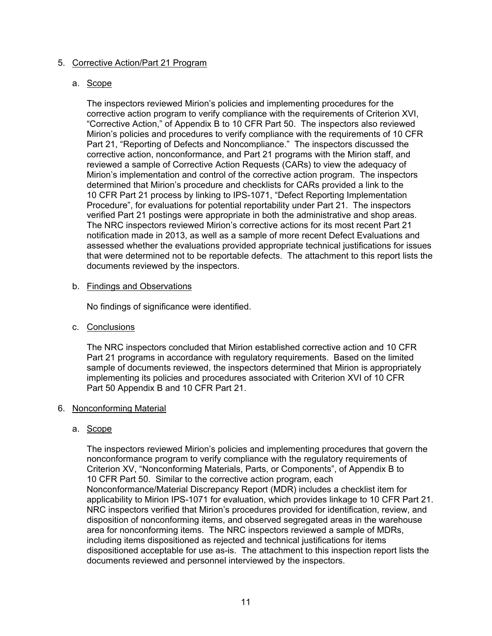# 5. Corrective Action/Part 21 Program

## a. Scope

The inspectors reviewed Mirion's policies and implementing procedures for the corrective action program to verify compliance with the requirements of Criterion XVI, "Corrective Action," of Appendix B to 10 CFR Part 50. The inspectors also reviewed Mirion's policies and procedures to verify compliance with the requirements of 10 CFR Part 21, "Reporting of Defects and Noncompliance." The inspectors discussed the corrective action, nonconformance, and Part 21 programs with the Mirion staff, and reviewed a sample of Corrective Action Requests (CARs) to view the adequacy of Mirion's implementation and control of the corrective action program. The inspectors determined that Mirion's procedure and checklists for CARs provided a link to the 10 CFR Part 21 process by linking to IPS-1071, "Defect Reporting Implementation Procedure", for evaluations for potential reportability under Part 21. The inspectors verified Part 21 postings were appropriate in both the administrative and shop areas. The NRC inspectors reviewed Mirion's corrective actions for its most recent Part 21 notification made in 2013, as well as a sample of more recent Defect Evaluations and assessed whether the evaluations provided appropriate technical justifications for issues that were determined not to be reportable defects. The attachment to this report lists the documents reviewed by the inspectors.

## b. Findings and Observations

No findings of significance were identified.

c. Conclusions

The NRC inspectors concluded that Mirion established corrective action and 10 CFR Part 21 programs in accordance with regulatory requirements. Based on the limited sample of documents reviewed, the inspectors determined that Mirion is appropriately implementing its policies and procedures associated with Criterion XVI of 10 CFR Part 50 Appendix B and 10 CFR Part 21.

# 6. Nonconforming Material

# a. Scope

The inspectors reviewed Mirion's policies and implementing procedures that govern the nonconformance program to verify compliance with the regulatory requirements of Criterion XV, "Nonconforming Materials, Parts, or Components", of Appendix B to 10 CFR Part 50. Similar to the corrective action program, each Nonconformance/Material Discrepancy Report (MDR) includes a checklist item for applicability to Mirion IPS-1071 for evaluation, which provides linkage to 10 CFR Part 21. NRC inspectors verified that Mirion's procedures provided for identification, review, and disposition of nonconforming items, and observed segregated areas in the warehouse area for nonconforming items. The NRC inspectors reviewed a sample of MDRs, including items dispositioned as rejected and technical justifications for items dispositioned acceptable for use as-is. The attachment to this inspection report lists the documents reviewed and personnel interviewed by the inspectors.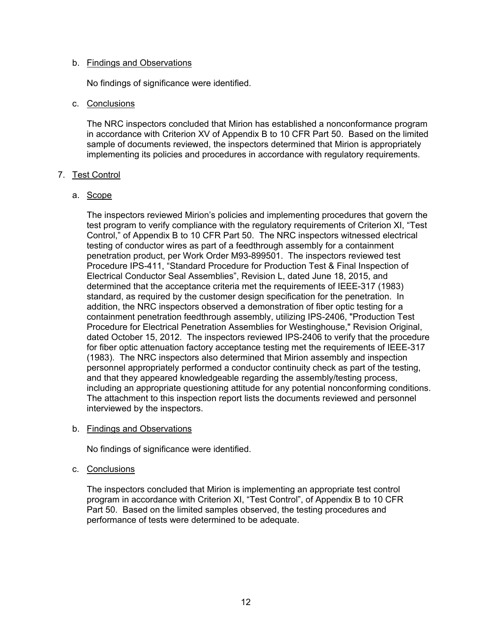## b. Findings and Observations

No findings of significance were identified.

## c. Conclusions

The NRC inspectors concluded that Mirion has established a nonconformance program in accordance with Criterion XV of Appendix B to 10 CFR Part 50. Based on the limited sample of documents reviewed, the inspectors determined that Mirion is appropriately implementing its policies and procedures in accordance with regulatory requirements.

## 7. Test Control

## a. Scope

The inspectors reviewed Mirion's policies and implementing procedures that govern the test program to verify compliance with the regulatory requirements of Criterion XI, "Test Control," of Appendix B to 10 CFR Part 50. The NRC inspectors witnessed electrical testing of conductor wires as part of a feedthrough assembly for a containment penetration product, per Work Order M93-899501. The inspectors reviewed test Procedure IPS-411, "Standard Procedure for Production Test & Final Inspection of Electrical Conductor Seal Assemblies", Revision L, dated June 18, 2015, and determined that the acceptance criteria met the requirements of IEEE-317 (1983) standard, as required by the customer design specification for the penetration. In addition, the NRC inspectors observed a demonstration of fiber optic testing for a containment penetration feedthrough assembly, utilizing IPS-2406, "Production Test Procedure for Electrical Penetration Assemblies for Westinghouse," Revision Original, dated October 15, 2012. The inspectors reviewed IPS-2406 to verify that the procedure for fiber optic attenuation factory acceptance testing met the requirements of IEEE-317 (1983). The NRC inspectors also determined that Mirion assembly and inspection personnel appropriately performed a conductor continuity check as part of the testing, and that they appeared knowledgeable regarding the assembly/testing process, including an appropriate questioning attitude for any potential nonconforming conditions. The attachment to this inspection report lists the documents reviewed and personnel interviewed by the inspectors.

### b. Findings and Observations

No findings of significance were identified.

### c. Conclusions

The inspectors concluded that Mirion is implementing an appropriate test control program in accordance with Criterion XI, "Test Control", of Appendix B to 10 CFR Part 50. Based on the limited samples observed, the testing procedures and performance of tests were determined to be adequate.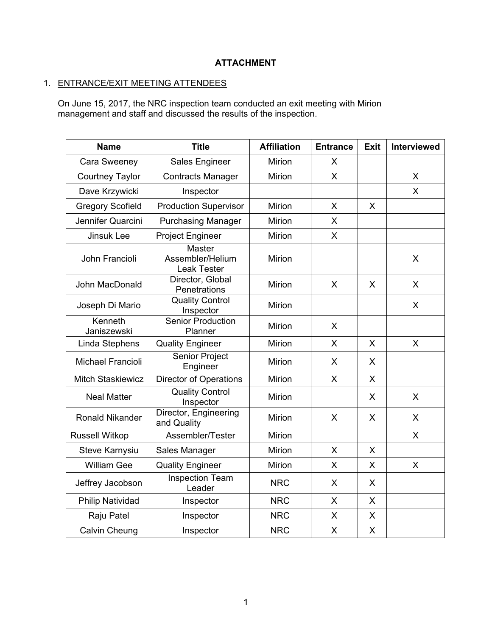# **ATTACHMENT**

# 1. ENTRANCE/EXIT MEETING ATTENDEES

On June 15, 2017, the NRC inspection team conducted an exit meeting with Mirion management and staff and discussed the results of the inspection.

| <b>Name</b>              | <b>Title</b>                                            | <b>Affiliation</b> | <b>Entrance</b> | <b>Exit</b> | Interviewed  |
|--------------------------|---------------------------------------------------------|--------------------|-----------------|-------------|--------------|
| Cara Sweeney             | Sales Engineer                                          | <b>Mirion</b>      | X               |             |              |
| <b>Courtney Taylor</b>   | <b>Contracts Manager</b>                                | Mirion             | X               |             | X            |
| Dave Krzywicki           | Inspector                                               |                    |                 |             | X            |
| <b>Gregory Scofield</b>  | <b>Production Supervisor</b>                            | Mirion             | $\mathsf{X}$    | X           |              |
| Jennifer Quarcini        | <b>Purchasing Manager</b>                               | Mirion             | X               |             |              |
| <b>Jinsuk Lee</b>        | <b>Project Engineer</b>                                 | Mirion             | X               |             |              |
| John Francioli           | <b>Master</b><br>Assembler/Helium<br><b>Leak Tester</b> | Mirion             |                 |             | X            |
| John MacDonald           | Director, Global<br>Penetrations                        | Mirion             | $\mathsf{X}$    | X           | $\mathsf{X}$ |
| Joseph Di Mario          | <b>Quality Control</b><br>Inspector                     | Mirion             |                 |             | X            |
| Kenneth<br>Janiszewski   | <b>Senior Production</b><br>Planner                     | Mirion             | X               |             |              |
| Linda Stephens           | <b>Quality Engineer</b>                                 | Mirion             | $\mathsf{X}$    | X           | X            |
| <b>Michael Francioli</b> | Senior Project<br>Engineer                              | Mirion             | X               | X           |              |
| <b>Mitch Staskiewicz</b> | <b>Director of Operations</b>                           | Mirion             | X               | X           |              |
| <b>Neal Matter</b>       | <b>Quality Control</b><br>Inspector                     | Mirion             |                 | X           | X            |
| <b>Ronald Nikander</b>   | Director, Engineering<br>and Quality                    | Mirion             | X               | X           | X            |
| <b>Russell Witkop</b>    | Assembler/Tester                                        | Mirion             |                 |             | $\mathsf{X}$ |
| Steve Karnysiu           | Sales Manager                                           | Mirion             | X               | X           |              |
| <b>William Gee</b>       | <b>Quality Engineer</b>                                 | Mirion             | X               | X           | X            |
| Jeffrey Jacobson         | <b>Inspection Team</b><br>Leader                        | <b>NRC</b>         | X               | X           |              |
| Philip Natividad         | Inspector                                               | <b>NRC</b>         | X               | X           |              |
| Raju Patel               | Inspector                                               | <b>NRC</b>         | X               | X           |              |
| Calvin Cheung            | Inspector                                               | <b>NRC</b>         | X               | X           |              |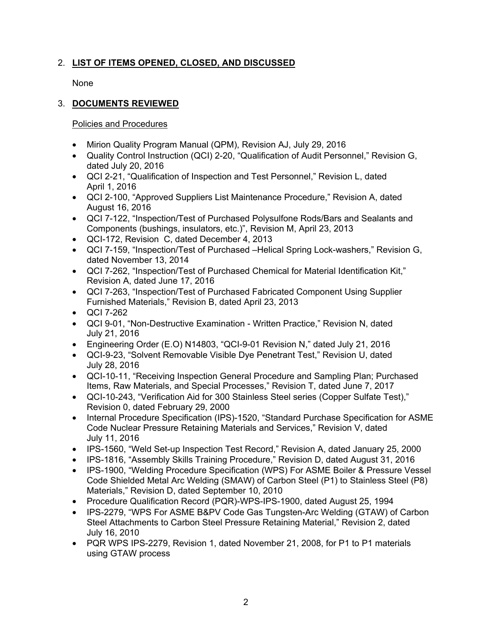# 2. **LIST OF ITEMS OPENED, CLOSED, AND DISCUSSED**

None

# 3. **DOCUMENTS REVIEWED**

Policies and Procedures

- Mirion Quality Program Manual (QPM), Revision AJ, July 29, 2016
- Quality Control Instruction (QCI) 2-20, "Qualification of Audit Personnel," Revision G, dated July 20, 2016
- QCI 2-21, "Qualification of Inspection and Test Personnel," Revision L, dated April 1, 2016
- QCI 2-100, "Approved Suppliers List Maintenance Procedure," Revision A, dated August 16, 2016
- QCI 7-122, "Inspection/Test of Purchased Polysulfone Rods/Bars and Sealants and Components (bushings, insulators, etc.)", Revision M, April 23, 2013
- QCI-172, Revision C, dated December 4, 2013
- QCI 7-159, "Inspection/Test of Purchased –Helical Spring Lock-washers," Revision G, dated November 13, 2014
- QCI 7-262, "Inspection/Test of Purchased Chemical for Material Identification Kit," Revision A, dated June 17, 2016
- QCI 7-263, "Inspection/Test of Purchased Fabricated Component Using Supplier Furnished Materials," Revision B, dated April 23, 2013
- QCI 7-262
- QCI 9-01, "Non-Destructive Examination Written Practice," Revision N, dated July 21, 2016
- Engineering Order (E.O) N14803, "QCI-9-01 Revision N," dated July 21, 2016
- QCI-9-23, "Solvent Removable Visible Dye Penetrant Test," Revision U, dated July 28, 2016
- QCI-10-11, "Receiving Inspection General Procedure and Sampling Plan; Purchased Items, Raw Materials, and Special Processes," Revision T, dated June 7, 2017
- QCI-10-243, "Verification Aid for 300 Stainless Steel series (Copper Sulfate Test)," Revision 0, dated February 29, 2000
- Internal Procedure Specification (IPS)-1520, "Standard Purchase Specification for ASME Code Nuclear Pressure Retaining Materials and Services," Revision V, dated July 11, 2016
- IPS-1560, "Weld Set-up Inspection Test Record," Revision A, dated January 25, 2000
- IPS-1816, "Assembly Skills Training Procedure," Revision D, dated August 31, 2016
- IPS-1900, "Welding Procedure Specification (WPS) For ASME Boiler & Pressure Vessel Code Shielded Metal Arc Welding (SMAW) of Carbon Steel (P1) to Stainless Steel (P8) Materials," Revision D, dated September 10, 2010
- Procedure Qualification Record (PQR)-WPS-IPS-1900, dated August 25, 1994
- IPS-2279, "WPS For ASME B&PV Code Gas Tungsten-Arc Welding (GTAW) of Carbon Steel Attachments to Carbon Steel Pressure Retaining Material," Revision 2, dated July 16, 2010
- PQR WPS IPS-2279, Revision 1, dated November 21, 2008, for P1 to P1 materials using GTAW process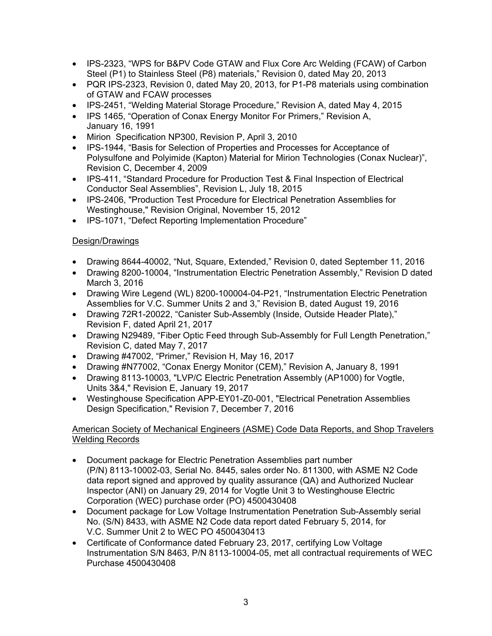- IPS-2323, "WPS for B&PV Code GTAW and Flux Core Arc Welding (FCAW) of Carbon Steel (P1) to Stainless Steel (P8) materials," Revision 0, dated May 20, 2013
- PQR IPS-2323, Revision 0, dated May 20, 2013, for P1-P8 materials using combination of GTAW and FCAW processes
- IPS-2451, "Welding Material Storage Procedure," Revision A, dated May 4, 2015
- IPS 1465, "Operation of Conax Energy Monitor For Primers," Revision A, January 16, 1991
- Mirion Specification NP300, Revision P, April 3, 2010
- IPS-1944, "Basis for Selection of Properties and Processes for Acceptance of Polysulfone and Polyimide (Kapton) Material for Mirion Technologies (Conax Nuclear)", Revision C, December 4, 2009
- IPS-411, "Standard Procedure for Production Test & Final Inspection of Electrical Conductor Seal Assemblies", Revision L, July 18, 2015
- IPS-2406, "Production Test Procedure for Electrical Penetration Assemblies for Westinghouse," Revision Original, November 15, 2012
- IPS-1071, "Defect Reporting Implementation Procedure"

# Design/Drawings

- Drawing 8644-40002, "Nut, Square, Extended," Revision 0, dated September 11, 2016
- Drawing 8200-10004, "Instrumentation Electric Penetration Assembly," Revision D dated March 3, 2016
- Drawing Wire Legend (WL) 8200-100004-04-P21, "Instrumentation Electric Penetration Assemblies for V.C. Summer Units 2 and 3," Revision B, dated August 19, 2016
- Drawing 72R1-20022, "Canister Sub-Assembly (Inside, Outside Header Plate)," Revision F, dated April 21, 2017
- Drawing N29489, "Fiber Optic Feed through Sub-Assembly for Full Length Penetration," Revision C, dated May 7, 2017
- Drawing #47002, "Primer," Revision H, May 16, 2017
- Drawing #N77002, "Conax Energy Monitor (CEM)," Revision A, January 8, 1991
- Drawing 8113-10003, "LVP/C Electric Penetration Assembly (AP1000) for Vogtle, Units 3&4," Revision E, January 19, 2017
- Westinghouse Specification APP-EY01-Z0-001, "Electrical Penetration Assemblies Design Specification," Revision 7, December 7, 2016

# American Society of Mechanical Engineers (ASME) Code Data Reports, and Shop Travelers Welding Records

- Document package for Electric Penetration Assemblies part number (P/N) 8113-10002-03, Serial No. 8445, sales order No. 811300, with ASME N2 Code data report signed and approved by quality assurance (QA) and Authorized Nuclear Inspector (ANI) on January 29, 2014 for Vogtle Unit 3 to Westinghouse Electric Corporation (WEC) purchase order (PO) 4500430408
- Document package for Low Voltage Instrumentation Penetration Sub-Assembly serial No. (S/N) 8433, with ASME N2 Code data report dated February 5, 2014, for V.C. Summer Unit 2 to WEC PO 4500430413
- Certificate of Conformance dated February 23, 2017, certifying Low Voltage Instrumentation S/N 8463, P/N 8113-10004-05, met all contractual requirements of WEC Purchase 4500430408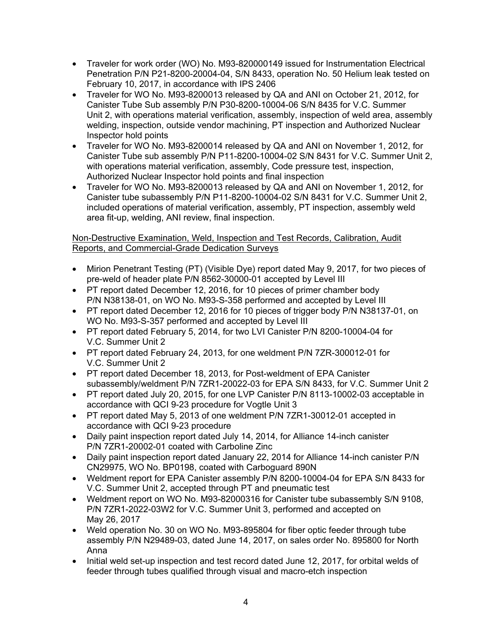- Traveler for work order (WO) No. M93-820000149 issued for Instrumentation Electrical Penetration P/N P21-8200-20004-04, S/N 8433, operation No. 50 Helium leak tested on February 10, 2017, in accordance with IPS 2406
- Traveler for WO No. M93-8200013 released by QA and ANI on October 21, 2012, for Canister Tube Sub assembly P/N P30-8200-10004-06 S/N 8435 for V.C. Summer Unit 2, with operations material verification, assembly, inspection of weld area, assembly welding, inspection, outside vendor machining, PT inspection and Authorized Nuclear Inspector hold points
- Traveler for WO No. M93-8200014 released by QA and ANI on November 1, 2012, for Canister Tube sub assembly P/N P11-8200-10004-02 S/N 8431 for V.C. Summer Unit 2, with operations material verification, assembly, Code pressure test, inspection, Authorized Nuclear Inspector hold points and final inspection
- Traveler for WO No. M93-8200013 released by QA and ANI on November 1, 2012, for Canister tube subassembly P/N P11-8200-10004-02 S/N 8431 for V.C. Summer Unit 2, included operations of material verification, assembly, PT inspection, assembly weld area fit-up, welding, ANI review, final inspection.

# Non-Destructive Examination, Weld, Inspection and Test Records, Calibration, Audit Reports, and Commercial-Grade Dedication Surveys

- Mirion Penetrant Testing (PT) (Visible Dye) report dated May 9, 2017, for two pieces of pre-weld of header plate P/N 8562-30000-01 accepted by Level III
- PT report dated December 12, 2016, for 10 pieces of primer chamber body P/N N38138-01, on WO No. M93-S-358 performed and accepted by Level III
- PT report dated December 12, 2016 for 10 pieces of trigger body P/N N38137-01, on WO No. M93-S-357 performed and accepted by Level III
- PT report dated February 5, 2014, for two LVI Canister P/N 8200-10004-04 for V.C. Summer Unit 2
- PT report dated February 24, 2013, for one weldment P/N 7ZR-300012-01 for V.C. Summer Unit 2
- PT report dated December 18, 2013, for Post-weldment of EPA Canister subassembly/weldment P/N 7ZR1-20022-03 for EPA S/N 8433, for V.C. Summer Unit 2
- PT report dated July 20, 2015, for one LVP Canister P/N 8113-10002-03 acceptable in accordance with QCI 9-23 procedure for Vogtle Unit 3
- PT report dated May 5, 2013 of one weldment P/N 7ZR1-30012-01 accepted in accordance with QCI 9-23 procedure
- Daily paint inspection report dated July 14, 2014, for Alliance 14-inch canister P/N 7ZR1-20002-01 coated with Carboline Zinc
- Daily paint inspection report dated January 22, 2014 for Alliance 14-inch canister P/N CN29975, WO No. BP0198, coated with Carboguard 890N
- Weldment report for EPA Canister assembly P/N 8200-10004-04 for EPA S/N 8433 for V.C. Summer Unit 2, accepted through PT and pneumatic test
- Weldment report on WO No. M93-82000316 for Canister tube subassembly S/N 9108, P/N 7ZR1-2022-03W2 for V.C. Summer Unit 3, performed and accepted on May 26, 2017
- Weld operation No. 30 on WO No. M93-895804 for fiber optic feeder through tube assembly P/N N29489-03, dated June 14, 2017, on sales order No. 895800 for North Anna
- Initial weld set-up inspection and test record dated June 12, 2017, for orbital welds of feeder through tubes qualified through visual and macro-etch inspection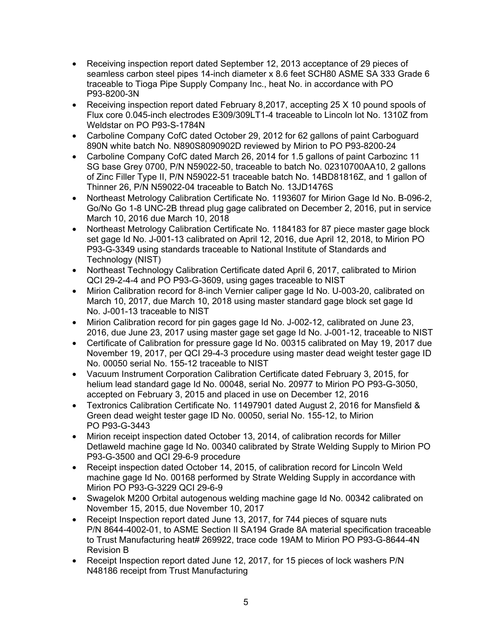- Receiving inspection report dated September 12, 2013 acceptance of 29 pieces of seamless carbon steel pipes 14-inch diameter x 8.6 feet SCH80 ASME SA 333 Grade 6 traceable to Tioga Pipe Supply Company Inc., heat No. in accordance with PO P93-8200-3N
- Receiving inspection report dated February 8,2017, accepting 25 X 10 pound spools of Flux core 0.045-inch electrodes E309/309LT1-4 traceable to Lincoln lot No. 1310Z from Weldstar on PO P93-S-1784N
- Carboline Company CofC dated October 29, 2012 for 62 gallons of paint Carboguard 890N white batch No. N890S8090902D reviewed by Mirion to PO P93-8200-24
- Carboline Company CofC dated March 26, 2014 for 1.5 gallons of paint Carbozinc 11 SG base Grey 0700, P/N N59022-50, traceable to batch No. 02310700AA10, 2 gallons of Zinc Filler Type II, P/N N59022-51 traceable batch No. 14BD81816Z, and 1 gallon of Thinner 26, P/N N59022-04 traceable to Batch No. 13JD1476S
- Northeast Metrology Calibration Certificate No. 1193607 for Mirion Gage Id No. B-096-2, Go/No Go 1-8 UNC-2B thread plug gage calibrated on December 2, 2016, put in service March 10, 2016 due March 10, 2018
- Northeast Metrology Calibration Certificate No. 1184183 for 87 piece master gage block set gage Id No. J-001-13 calibrated on April 12, 2016, due April 12, 2018, to Mirion PO P93-G-3349 using standards traceable to National Institute of Standards and Technology (NIST)
- Northeast Technology Calibration Certificate dated April 6, 2017, calibrated to Mirion QCI 29-2-4-4 and PO P93-G-3609, using gages traceable to NIST
- Mirion Calibration record for 8-inch Vernier caliper gage Id No. U-003-20, calibrated on March 10, 2017, due March 10, 2018 using master standard gage block set gage Id No. J-001-13 traceable to NIST
- Mirion Calibration record for pin gages gage Id No. J-002-12, calibrated on June 23, 2016, due June 23, 2017 using master gage set gage Id No. J-001-12, traceable to NIST
- Certificate of Calibration for pressure gage Id No. 00315 calibrated on May 19, 2017 due November 19, 2017, per QCI 29-4-3 procedure using master dead weight tester gage ID No. 00050 serial No. 155-12 traceable to NIST
- Vacuum Instrument Corporation Calibration Certificate dated February 3, 2015, for helium lead standard gage Id No. 00048, serial No. 20977 to Mirion PO P93-G-3050, accepted on February 3, 2015 and placed in use on December 12, 2016
- Textronics Calibration Certificate No. 11497901 dated August 2, 2016 for Mansfield & Green dead weight tester gage ID No. 00050, serial No. 155-12, to Mirion PO P93-G-3443
- Mirion receipt inspection dated October 13, 2014, of calibration records for Miller Detlaweld machine gage Id No. 00340 calibrated by Strate Welding Supply to Mirion PO P93-G-3500 and QCI 29-6-9 procedure
- Receipt inspection dated October 14, 2015, of calibration record for Lincoln Weld machine gage Id No. 00168 performed by Strate Welding Supply in accordance with Mirion PO P93-G-3229 QCI 29-6-9
- Swagelok M200 Orbital autogenous welding machine gage Id No. 00342 calibrated on November 15, 2015, due November 10, 2017
- Receipt Inspection report dated June 13, 2017, for 744 pieces of square nuts P/N 8644-4002-01, to ASME Section II SA194 Grade 8A material specification traceable to Trust Manufacturing heat# 269922, trace code 19AM to Mirion PO P93-G-8644-4N Revision B
- Receipt Inspection report dated June 12, 2017, for 15 pieces of lock washers P/N N48186 receipt from Trust Manufacturing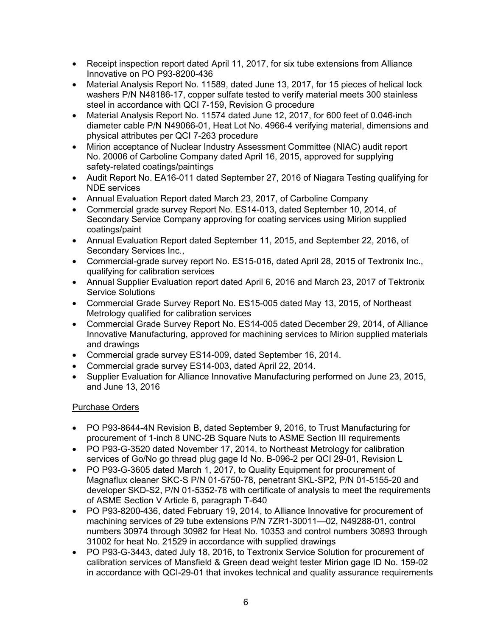- Receipt inspection report dated April 11, 2017, for six tube extensions from Alliance Innovative on PO P93-8200-436
- Material Analysis Report No. 11589, dated June 13, 2017, for 15 pieces of helical lock washers P/N N48186-17, copper sulfate tested to verify material meets 300 stainless steel in accordance with QCI 7-159, Revision G procedure
- Material Analysis Report No. 11574 dated June 12, 2017, for 600 feet of 0.046-inch diameter cable P/N N49066-01, Heat Lot No. 4966-4 verifying material, dimensions and physical attributes per QCI 7-263 procedure
- Mirion acceptance of Nuclear Industry Assessment Committee (NIAC) audit report No. 20006 of Carboline Company dated April 16, 2015, approved for supplying safety-related coatings/paintings
- Audit Report No. EA16-011 dated September 27, 2016 of Niagara Testing qualifying for NDE services
- Annual Evaluation Report dated March 23, 2017, of Carboline Company
- Commercial grade survey Report No. ES14-013, dated September 10, 2014, of Secondary Service Company approving for coating services using Mirion supplied coatings/paint
- Annual Evaluation Report dated September 11, 2015, and September 22, 2016, of Secondary Services Inc.,
- Commercial-grade survey report No. ES15-016, dated April 28, 2015 of Textronix Inc., qualifying for calibration services
- Annual Supplier Evaluation report dated April 6, 2016 and March 23, 2017 of Tektronix Service Solutions
- Commercial Grade Survey Report No. ES15-005 dated May 13, 2015, of Northeast Metrology qualified for calibration services
- Commercial Grade Survey Report No. ES14-005 dated December 29, 2014, of Alliance Innovative Manufacturing, approved for machining services to Mirion supplied materials and drawings
- Commercial grade survey ES14-009, dated September 16, 2014.
- Commercial grade survey ES14-003, dated April 22, 2014.
- Supplier Evaluation for Alliance Innovative Manufacturing performed on June 23, 2015, and June 13, 2016

# Purchase Orders

- PO P93-8644-4N Revision B, dated September 9, 2016, to Trust Manufacturing for procurement of 1-inch 8 UNC-2B Square Nuts to ASME Section III requirements
- PO P93-G-3520 dated November 17, 2014, to Northeast Metrology for calibration services of Go/No go thread plug gage Id No. B-096-2 per QCI 29-01, Revision L
- PO P93-G-3605 dated March 1, 2017, to Quality Equipment for procurement of Magnaflux cleaner SKC-S P/N 01-5750-78, penetrant SKL-SP2, P/N 01-5155-20 and developer SKD-S2, P/N 01-5352-78 with certificate of analysis to meet the requirements of ASME Section V Article 6, paragraph T-640
- PO P93-8200-436, dated February 19, 2014, to Alliance Innovative for procurement of machining services of 29 tube extensions P/N 7ZR1-30011—02, N49288-01, control numbers 30974 through 30982 for Heat No. 10353 and control numbers 30893 through 31002 for heat No. 21529 in accordance with supplied drawings
- PO P93-G-3443, dated July 18, 2016, to Textronix Service Solution for procurement of calibration services of Mansfield & Green dead weight tester Mirion gage ID No. 159-02 in accordance with QCI-29-01 that invokes technical and quality assurance requirements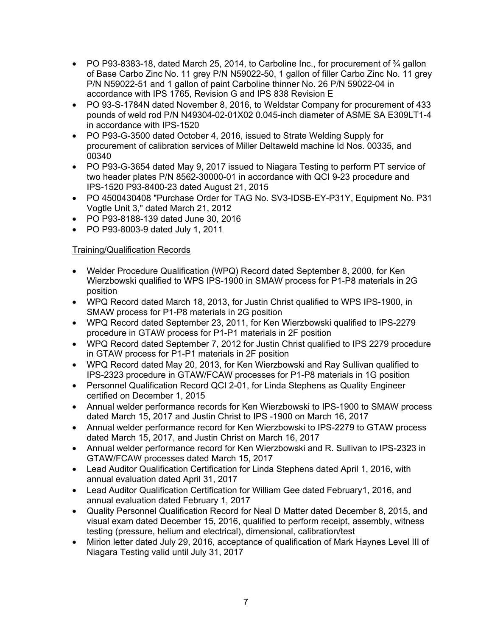- PO P93-8383-18, dated March 25, 2014, to Carboline Inc., for procurement of  $\frac{3}{4}$  gallon of Base Carbo Zinc No. 11 grey P/N N59022-50, 1 gallon of filler Carbo Zinc No. 11 grey P/N N59022-51 and 1 gallon of paint Carboline thinner No. 26 P/N 59022-04 in accordance with IPS 1765, Revision G and IPS 838 Revision E
- PO 93-S-1784N dated November 8, 2016, to Weldstar Company for procurement of 433 pounds of weld rod P/N N49304-02-01X02 0.045-inch diameter of ASME SA E309LT1-4 in accordance with IPS-1520
- PO P93-G-3500 dated October 4, 2016, issued to Strate Welding Supply for procurement of calibration services of Miller Deltaweld machine Id Nos. 00335, and 00340
- PO P93-G-3654 dated May 9, 2017 issued to Niagara Testing to perform PT service of two header plates P/N 8562-30000-01 in accordance with QCI 9-23 procedure and IPS-1520 P93-8400-23 dated August 21, 2015
- PO 4500430408 "Purchase Order for TAG No. SV3-IDSB-EY-P31Y, Equipment No. P31 Vogtle Unit 3," dated March 21, 2012
- PO P93-8188-139 dated June 30, 2016
- PO P93-8003-9 dated July 1, 2011

# Training/Qualification Records

- Welder Procedure Qualification (WPQ) Record dated September 8, 2000, for Ken Wierzbowski qualified to WPS IPS-1900 in SMAW process for P1-P8 materials in 2G position
- WPQ Record dated March 18, 2013, for Justin Christ qualified to WPS IPS-1900, in SMAW process for P1-P8 materials in 2G position
- WPQ Record dated September 23, 2011, for Ken Wierzbowski qualified to IPS-2279 procedure in GTAW process for P1-P1 materials in 2F position
- WPQ Record dated September 7, 2012 for Justin Christ qualified to IPS 2279 procedure in GTAW process for P1-P1 materials in 2F position
- WPQ Record dated May 20, 2013, for Ken Wierzbowski and Ray Sullivan qualified to IPS-2323 procedure in GTAW/FCAW processes for P1-P8 materials in 1G position
- Personnel Qualification Record QCI 2-01, for Linda Stephens as Quality Engineer certified on December 1, 2015
- Annual welder performance records for Ken Wierzbowski to IPS-1900 to SMAW process dated March 15, 2017 and Justin Christ to IPS -1900 on March 16, 2017
- Annual welder performance record for Ken Wierzbowski to IPS-2279 to GTAW process dated March 15, 2017, and Justin Christ on March 16, 2017
- Annual welder performance record for Ken Wierzbowski and R. Sullivan to IPS-2323 in GTAW/FCAW processes dated March 15, 2017
- Lead Auditor Qualification Certification for Linda Stephens dated April 1, 2016, with annual evaluation dated April 31, 2017
- Lead Auditor Qualification Certification for William Gee dated February1, 2016, and annual evaluation dated February 1, 2017
- Quality Personnel Qualification Record for Neal D Matter dated December 8, 2015, and visual exam dated December 15, 2016, qualified to perform receipt, assembly, witness testing (pressure, helium and electrical), dimensional, calibration/test
- Mirion letter dated July 29, 2016, acceptance of qualification of Mark Haynes Level III of Niagara Testing valid until July 31, 2017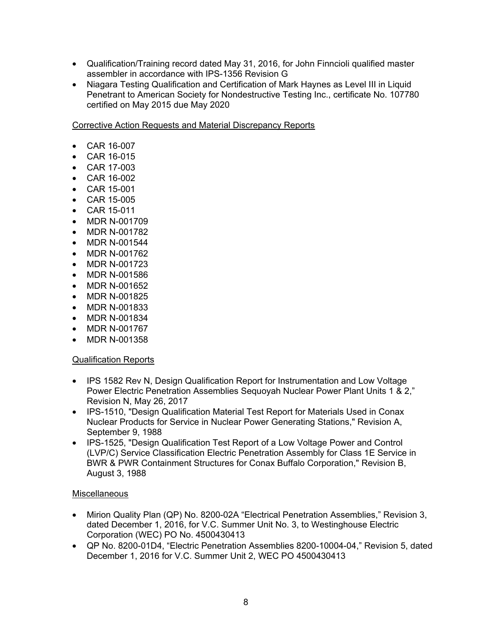- Qualification/Training record dated May 31, 2016, for John Finncioli qualified master assembler in accordance with IPS-1356 Revision G
- Niagara Testing Qualification and Certification of Mark Haynes as Level III in Liquid Penetrant to American Society for Nondestructive Testing Inc., certificate No. 107780 certified on May 2015 due May 2020

Corrective Action Requests and Material Discrepancy Reports

- CAR 16-007
- CAR 16-015
- CAR 17-003
- CAR 16-002
- CAR 15-001
- CAR 15-005
- CAR 15-011
- MDR N-001709
- MDR N-001782
- MDR N-001544
- MDR N-001762
- MDR N-001723
- MDR N-001586
- MDR N-001652
- MDR N-001825
- MDR N-001833
- MDR N-001834
- MDR N-001767
- MDR N-001358

# Qualification Reports

- IPS 1582 Rev N, Design Qualification Report for Instrumentation and Low Voltage Power Electric Penetration Assemblies Sequoyah Nuclear Power Plant Units 1 & 2," Revision N, May 26, 2017
- IPS-1510, "Design Qualification Material Test Report for Materials Used in Conax Nuclear Products for Service in Nuclear Power Generating Stations," Revision A, September 9, 1988
- IPS-1525, "Design Qualification Test Report of a Low Voltage Power and Control (LVP/C) Service Classification Electric Penetration Assembly for Class 1E Service in BWR & PWR Containment Structures for Conax Buffalo Corporation," Revision B, August 3, 1988

# **Miscellaneous**

- Mirion Quality Plan (QP) No. 8200-02A "Electrical Penetration Assemblies," Revision 3, dated December 1, 2016, for V.C. Summer Unit No. 3, to Westinghouse Electric Corporation (WEC) PO No. 4500430413
- QP No. 8200-01D4, "Electric Penetration Assemblies 8200-10004-04," Revision 5, dated December 1, 2016 for V.C. Summer Unit 2, WEC PO 4500430413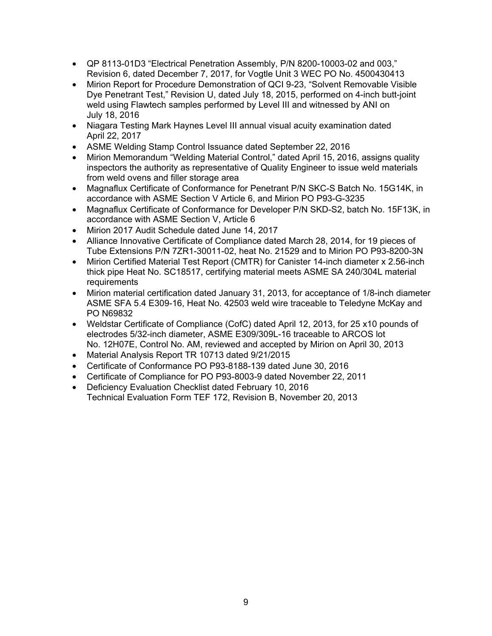- QP 8113-01D3 "Electrical Penetration Assembly, P/N 8200-10003-02 and 003," Revision 6, dated December 7, 2017, for Vogtle Unit 3 WEC PO No. 4500430413
- Mirion Report for Procedure Demonstration of QCI 9-23, "Solvent Removable Visible Dye Penetrant Test," Revision U, dated July 18, 2015, performed on 4-inch butt-joint weld using Flawtech samples performed by Level III and witnessed by ANI on July 18, 2016
- Niagara Testing Mark Haynes Level III annual visual acuity examination dated April 22, 2017
- ASME Welding Stamp Control Issuance dated September 22, 2016
- Mirion Memorandum "Welding Material Control," dated April 15, 2016, assigns quality inspectors the authority as representative of Quality Engineer to issue weld materials from weld ovens and filler storage area
- Magnaflux Certificate of Conformance for Penetrant P/N SKC-S Batch No. 15G14K, in accordance with ASME Section V Article 6, and Mirion PO P93-G-3235
- Magnaflux Certificate of Conformance for Developer P/N SKD-S2, batch No. 15F13K, in accordance with ASME Section V, Article 6
- Mirion 2017 Audit Schedule dated June 14, 2017
- Alliance Innovative Certificate of Compliance dated March 28, 2014, for 19 pieces of Tube Extensions P/N 7ZR1-30011-02, heat No. 21529 and to Mirion PO P93-8200-3N
- Mirion Certified Material Test Report (CMTR) for Canister 14-inch diameter x 2.56-inch thick pipe Heat No. SC18517, certifying material meets ASME SA 240/304L material requirements
- Mirion material certification dated January 31, 2013, for acceptance of 1/8-inch diameter ASME SFA 5.4 E309-16, Heat No. 42503 weld wire traceable to Teledyne McKay and PO N69832
- Weldstar Certificate of Compliance (CofC) dated April 12, 2013, for 25 x10 pounds of electrodes 5/32-inch diameter, ASME E309/309L-16 traceable to ARCOS lot No. 12H07E, Control No. AM, reviewed and accepted by Mirion on April 30, 2013
- Material Analysis Report TR 10713 dated 9/21/2015
- Certificate of Conformance PO P93-8188-139 dated June 30, 2016
- Certificate of Compliance for PO P93-8003-9 dated November 22, 2011
- Deficiency Evaluation Checklist dated February 10, 2016 Technical Evaluation Form TEF 172, Revision B, November 20, 2013